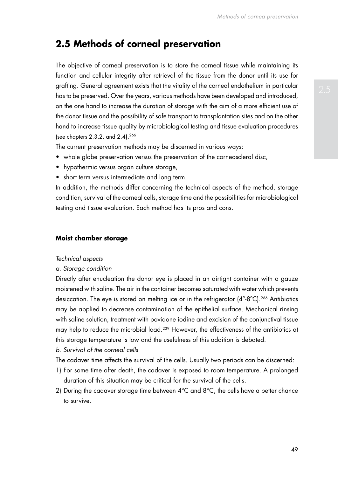# **2.5 Methods of corneal preservation**

The objective of corneal preservation is to store the corneal tissue while maintaining its function and cellular integrity after retrieval of the tissue from the donor until its use for grafting. General agreement exists that the vitality of the corneal endothelium in particular has to be preserved. Over the years, various methods have been developed and introduced, on the one hand to increase the duration of storage with the aim of a more efficient use of the donor tissue and the possibility of safe transport to transplantation sites and on the other hand to increase tissue quality by microbiological testing and tissue evaluation procedures (see chapters 2.3.2. and 2.4).266

The current preservation methods may be discerned in various ways:

- whole globe preservation versus the preservation of the corneoscleral disc,
- hypothermic versus organ culture storage,
- short term versus intermediate and long term.

In addition, the methods differ concerning the technical aspects of the method, storage condition, survival of the corneal cells, storage time and the possibilities for microbiological testing and tissue evaluation. Each method has its pros and cons.

#### **Moist chamber storage**

#### *Technical aspects*

#### *a. Storage condition*

Directly after enucleation the donor eye is placed in an airtight container with a gauze moistened with saline. The air in the container becomes saturated with water which prevents desiccation. The eye is stored on melting ice or in the refrigerator (4°-8°C).<sup>266</sup> Antibiotics may be applied to decrease contamination of the epithelial surface. Mechanical rinsing with saline solution, treatment with povidone iodine and excision of the conjunctival tissue may help to reduce the microbial load.239 However, the effectiveness of the antibiotics at this storage temperature is low and the usefulness of this addition is debated.

## *b. Survival of the corneal cells*

The cadaver time affects the survival of the cells. Usually two periods can be discerned:

- 1) For some time after death, the cadaver is exposed to room temperature. A prolonged duration of this situation may be critical for the survival of the cells.
- 2) During the cadaver storage time between  $4^{\circ}$ C and  $8^{\circ}$ C, the cells have a better chance to survive.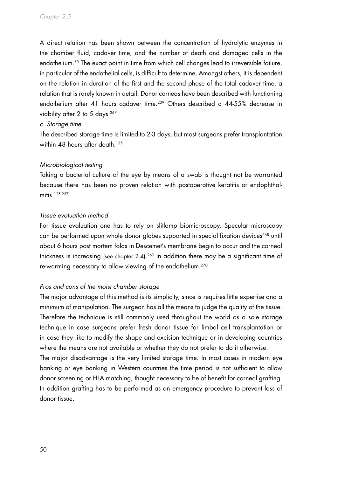A direct relation has been shown between the concentration of hydrolytic enzymes in the chamber fluid, cadaver time, and the number of death and damaged cells in the endothelium.<sup>85</sup> The exact point in time from which cell changes lead to irreversible failure, in particular of the endothelial cells, is difficult to determine. Amongst others, it is dependent on the relation in duration of the first and the second phase of the total cadaver time, a relation that is rarely known in detail. Donor corneas have been described with functioning endothelium after 41 hours cadaver time.<sup>239</sup> Others described a 44-55% decrease in viability after 2 to 5 days.<sup>267</sup>

#### *c. Storage time*

The described storage time is limited to 2-3 days, but most surgeons prefer transplantation within 48 hours after death.<sup>125</sup>

#### *Microbiological testing*

Taking a bacterial culture of the eye by means of a swab is thought not be warranted because there has been no proven relation with postoperative keratitis or endophthalmitis.125,237

#### *Tissue evaluation method*

For tissue evaluation one has to rely on slitlamp biomicroscopy. Specular microscopy can be performed upon whole donor globes supported in special fixation devices<sup>268</sup> until about 6 hours post mortem folds in Descemet's membrane begin to occur and the corneal thickness is increasing (see chapter 2.4). 269 In addition there may be a significant time of re-warming necessary to allow viewing of the endothelium.270

### *Pros and cons of the moist chamber storage*

The major advantage of this method is its simplicity, since is requires little expertise and a minimum of manipulation. The surgeon has all the means to judge the quality of the tissue. Therefore the technique is still commonly used throughout the world as a sole storage technique in case surgeons prefer fresh donor tissue for limbal cell transplantation or in case they like to modify the shape and excision technique or in developing countries where the means are not available or whether they do not prefer to do it otherwise.

The major disadvantage is the very limited storage time. In most cases in modern eye banking or eye banking in Western countries the time period is not sufficient to allow donor screening or HLA matching, thought necessary to be of benefit for corneal grafting. In addition grafting has to be performed as an emergency procedure to prevent loss of donor tissue.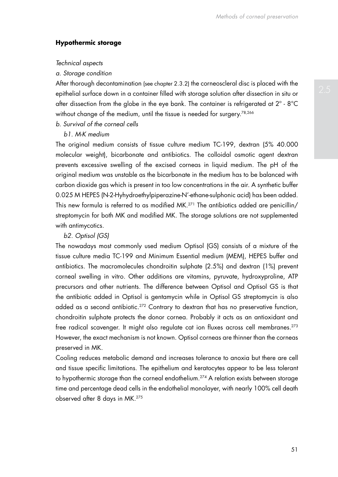#### **Hypothermic storage**

#### *Technical aspects*

#### *a. Storage condition*

After thorough decontamination (see chapter 2.3.2) the corneoscleral disc is placed with the epithelial surface down in a container filled with storage solution after dissection in situ or after dissection from the globe in the eye bank. The container is refrigerated at 2º - 8°C without change of the medium, until the tissue is needed for surgery.<sup>78,266</sup>

*b. Survival of the corneal cells*

# *b1. M-K medium*

The original medium consists of tissue culture medium TC-199, dextran (5% 40.000 molecular weight), bicarbonate and antibiotics. The colloidal osmotic agent dextran prevents excessive swelling of the excised corneas in liquid medium. The pH of the original medium was unstable as the bicarbonate in the medium has to be balanced with carbon dioxide gas which is present in too low concentrations in the air. A synthetic buffer 0.025 M HEPES (N-2-Hyhydroethylpiperazine-N'-ethane-sulphonic acid) has been added. This new formula is referred to as modified MK.271 The antibiotics added are penicillin/ streptomycin for both MK and modified MK. The storage solutions are not supplemented with antimycotics.

#### *b2. Optisol (GS)*

The nowadays most commonly used medium Optisol (GS) consists of a mixture of the tissue culture media TC-199 and Minimum Essential medium (MEM), HEPES buffer and antibiotics. The macromolecules chondroitin sulphate (2.5%) and dextran (1%) prevent corneal swelling in vitro. Other additions are vitamins, pyruvate, hydroxyproline, ATP precursors and other nutrients. The difference between Optisol and Optisol GS is that the antibiotic added in Optisol is gentamycin while in Optisol GS streptomycin is also added as a second antibiotic.<sup>272</sup> Contrary to dextran that has no preservative function, chondroitin sulphate protects the donor cornea. Probably it acts as an antioxidant and free radical scavenger. It might also regulate cat ion fluxes across cell membranes.<sup>273</sup> However, the exact mechanism is not known. Optisol corneas are thinner than the corneas preserved in MK.

Cooling reduces metabolic demand and increases tolerance to anoxia but there are cell and tissue specific limitations. The epithelium and keratocytes appear to be less tolerant to hypothermic storage than the corneal endothelium.<sup>274</sup> A relation exists between storage time and percentage dead cells in the endothelial monolayer, with nearly 100% cell death observed after 8 days in MK.275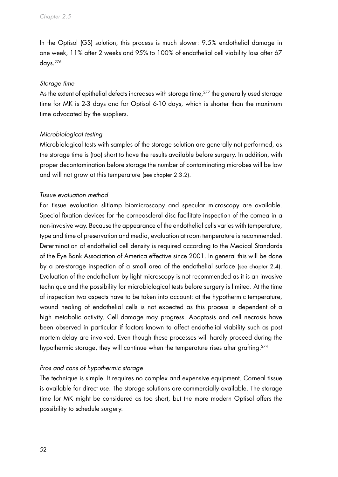In the Optisol (GS) solution, this process is much slower: 9.5% endothelial damage in one week, 11% after 2 weeks and 95% to 100% of endothelial cell viability loss after 67 days.276

### *Storage time*

As the extent of epithelial defects increases with storage time,<sup>277</sup> the generally used storage time for MK is 2-3 days and for Optisol 6-10 days, which is shorter than the maximum time advocated by the suppliers.

# *Microbiological testing*

Microbiological tests with samples of the storage solution are generally not performed, as the storage time is (too) short to have the results available before surgery. In addition, with proper decontamination before storage the number of contaminating microbes will be low and will not grow at this temperature (see chapter 2.3.2).

# *Tissue evaluation method*

For tissue evaluation slitlamp biomicroscopy and specular microscopy are available. Special fixation devices for the corneoscleral disc facilitate inspection of the cornea in a non-invasive way. Because the appearance of the endothelial cells varies with temperature, type and time of preservation and media, evaluation at room temperature is recommended. Determination of endothelial cell density is required according to the Medical Standards of the Eye Bank Association of America effective since 2001. In general this will be done by a pre-storage inspection of a small area of the endothelial surface (see chapter 2.4). Evaluation of the endothelium by light microscopy is not recommended as it is an invasive technique and the possibility for microbiological tests before surgery is limited. At the time of inspection two aspects have to be taken into account: at the hypothermic temperature, wound healing of endothelial cells is not expected as this process is dependent of a high metabolic activity. Cell damage may progress. Apoptosis and cell necrosis have been observed in particular if factors known to affect endothelial viability such as post mortem delay are involved. Even though these processes will hardly proceed during the hypothermic storage, they will continue when the temperature rises after grafting.<sup>274</sup>

### *Pros and cons of hypothermic storage*

The technique is simple. It requires no complex and expensive equipment. Corneal tissue is available for direct use. The storage solutions are commercially available. The storage time for MK might be considered as too short, but the more modern Optisol offers the possibility to schedule surgery.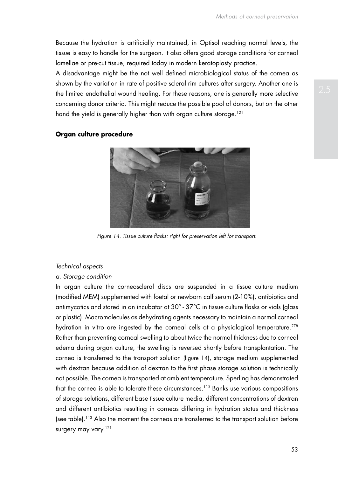Because the hydration is artificially maintained, in Optisol reaching normal levels, the tissue is easy to handle for the surgeon. It also offers good storage conditions for corneal lamellae or pre-cut tissue, required today in modern keratoplasty practice.

A disadvantage might be the not well defined microbiological status of the cornea as shown by the variation in rate of positive scleral rim cultures after surgery. Another one is the limited endothelial wound healing. For these reasons, one is generally more selective concerning donor criteria. This might reduce the possible pool of donors, but on the other hand the yield is generally higher than with organ culture storage.<sup>121</sup>



*Figure 14. Tissue culture flasks: right for preservation left for transport.*

#### *Technical aspects*

#### *a. Storage condition*

**Organ culture procedure**

In organ culture the corneoscleral discs are suspended in a tissue culture medium (modified MEM) supplemented with foetal or newborn calf serum (2-10%), antibiotics and antimycotics and stored in an incubator at 30º - 37°C in tissue culture flasks or vials (glass or plastic). Macromolecules as dehydrating agents necessary to maintain a normal corneal hydration in vitro are ingested by the corneal cells at a physiological temperature.<sup>278</sup> Rather than preventing corneal swelling to about twice the normal thickness due to corneal edema during organ culture, the swelling is reversed shortly before transplantation. The cornea is transferred to the transport solution (figure 14), storage medium supplemented with dextran because addition of dextran to the first phase storage solution is technically not possible. The cornea is transported at ambient temperature. Sperling has demonstrated that the cornea is able to tolerate these circumstances.<sup>113</sup> Banks use various compositions of storage solutions, different base tissue culture media, different concentrations of dextran and different antibiotics resulting in corneas differing in hydration status and thickness (see table).113 Also the moment the corneas are transferred to the transport solution before surgery may vary.<sup>121</sup>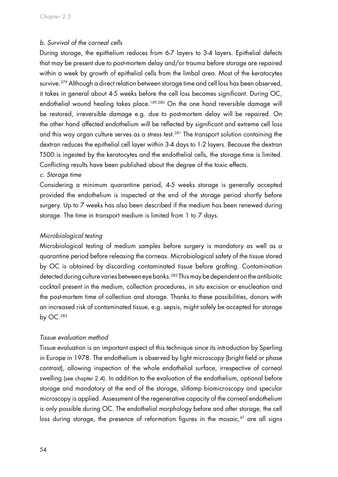# *b. Survival of the corneal cells*

During storage, the epithelium reduces from 6-7 layers to 3-4 layers. Epithelial defects that may be present due to post-mortem delay and/or trauma before storage are repaired within a week by growth of epithelial cells from the limbal area. Most of the keratocytes survive.<sup>279</sup> Although a direct relation between storage time and cell loss has been observed, it takes in general about 4-5 weeks before the cell loss becomes significant. During OC, endothelial wound healing takes place.<sup>109,280</sup> On the one hand reversible damage will be restored, irreversible damage e.g. due to post-mortem delay will be repaired. On the other hand affected endothelium will be reflected by significant and extreme cell loss and this way organ culture serves as a stress test.<sup>281</sup> The transport solution containing the dextran reduces the epithelial cell layer within 3-4 days to 1-2 layers. Because the dextran T500 is ingested by the keratocytes and the endothelial cells, the storage time is limited. Conflicting results have been published about the degree of the toxic effects.

#### *c. Storage time*

Considering a minimum quarantine period, 4-5 weeks storage is generally accepted provided the endothelium is inspected at the end of the storage period shortly before surgery. Up to 7 weeks has also been described if the medium has been renewed during storage. The time in transport medium is limited from 1 to 7 days.

#### *Microbiological testing*

Microbiological testing of medium samples before surgery is mandatory as well as a quarantine period before releasing the corneas. Microbiological safety of the tissue stored by OC is obtained by discarding contaminated tissue before grafting. Contamination detected during culture varies between eye banks.<sup>282</sup> This may be dependent on the antibiotic cocktail present in the medium, collection procedures, in situ excision or enucleation and the post-mortem time of collection and storage. Thanks to these possibilities, donors with an increased risk of contaminated tissue, e.g. sepsis, might safely be accepted for storage by OC.283

#### *Tissue evaluation method*

Tissue evaluation is an important aspect of this technique since its introduction by Sperling in Europe in 1978. The endothelium is observed by light microscopy (bright field or phase contrast), allowing inspection of the whole endothelial surface, irrespective of corneal swelling (see chapter 2.4). In addition to the evaluation of the endothelium, optional before storage and mandatory at the end of the storage, slitlamp biomicroscopy and specular microscopy is applied. Assessment of the regenerative capacity of the corneal endothelium is only possible during OC. The endothelial morphology before and after storage, the cell loss during storage, the presence of reformation figures in the mosaic, $47$  are all signs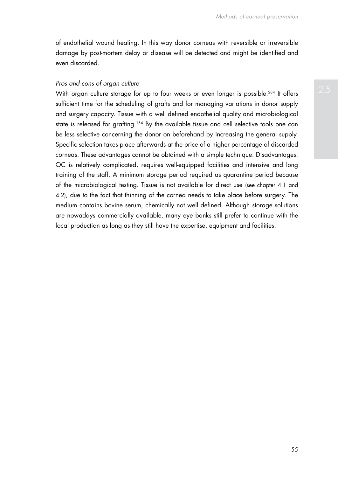of endothelial wound healing. In this way donor corneas with reversible or irreversible damage by post-mortem delay or disease will be detected and might be identified and even discarded.

### *Pros and cons of organ culture*

With organ culture storage for up to four weeks or even longer is possible.<sup>284</sup> It offers sufficient time for the scheduling of grafts and for managing variations in donor supply and surgery capacity. Tissue with a well defined endothelial quality and microbiological state is released for grafting.<sup>184</sup> By the available tissue and cell selective tools one can be less selective concerning the donor on beforehand by increasing the general supply. Specific selection takes place afterwards at the price of a higher percentage of discarded corneas. These advantages cannot be obtained with a simple technique. Disadvantages: OC is relatively complicated, requires well-equipped facilities and intensive and long training of the staff. A minimum storage period required as quarantine period because of the microbiological testing. Tissue is not available for direct use (see chapter 4.1 and 4.2), due to the fact that thinning of the cornea needs to take place before surgery. The medium contains bovine serum, chemically not well defined. Although storage solutions are nowadays commercially available, many eye banks still prefer to continue with the local production as long as they still have the expertise, equipment and facilities.